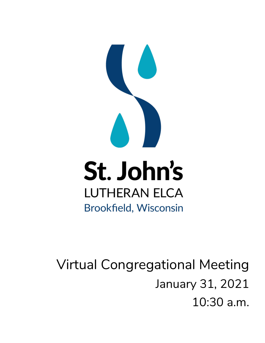

# Virtual Congregational Meeting January 31, 2021 10:30 a.m.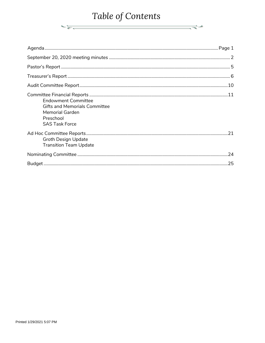# Table of Contents

 $\overbrace{\hspace{4.5cm}}^{\ast}$ 

| <b>Endowment Committee</b><br><b>Gifts and Memorials Committee</b><br><b>Memorial Garden</b><br>Preschool<br><b>SAS Task Force</b> |     |
|------------------------------------------------------------------------------------------------------------------------------------|-----|
| <b>Groth Design Update</b><br><b>Transition Team Update</b>                                                                        |     |
|                                                                                                                                    |     |
|                                                                                                                                    | .25 |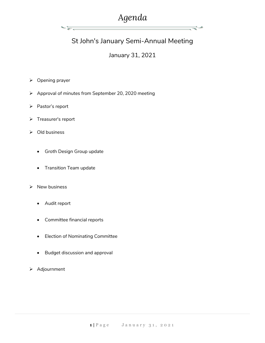# *Agenda*

ਵ∸

# St John's January Semi-Annual Meeting

### January 31, 2021

- ➢ Opening prayer
- ➢ Approval of minutes from September 20, 2020 meeting
- ➢ Pastor's report
- ➢ Treasurer's report
- ➢ Old business
	- Groth Design Group update

∹≽

- Transition Team update
- ➢ New business
	- Audit report
	- Committee financial reports
	- Election of Nominating Committee
	- Budget discussion and approval
- ➢ Adjournment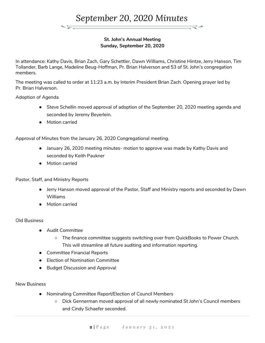

#### **St. John's Annual Meeting Sunday, September 20, 2020**

In attendance: Kathy Davis, Brian Zach, Gary Schettler, Dawn Williams, Christine Hintze, Jerry Hanson, Tim Tollander, Barb Lange, Madeline Beug-Hoffman, Pr. Brian Halverson and 53 of St. John's congregation members.

The meeting was called to order at 11:23 a.m. by Interim President Brian Zach. Opening prayer led by Pr. Brian Halverson.

Adoption of Agenda

- Steve Schellin moved approval of adoption of the September 20, 2020 meeting agenda and seconded by Jeremy Beyerlein.
- Motion carried

Approval of Minutes from the January 26, 2020 Congregational meeting.

- January 26, 2020 meeting minutes- motion to approve was made by Kathy Davis and seconded by Keith Paukner
- Motion carried

#### Pastor, Staff, and Ministry Reports

- Jerry Hanson moved approval of the Pastor, Staff and Ministry reports and seconded by Dawn Williams
- Motion carried

#### Old Business

- Audit Committee
	- The finance committee suggests switching over from QuickBooks to Power Church. This will streamline all future auditing and information reporting.
- Committee Financial Reports
- Election of Nomination Committee
- Budget Discussion and Approval

New Business

- Nominating Committee Report/Election of Council Members
	- Dick Gennerman moved approval of all newly nominated St John's Council members and Cindy Schaefer seconded.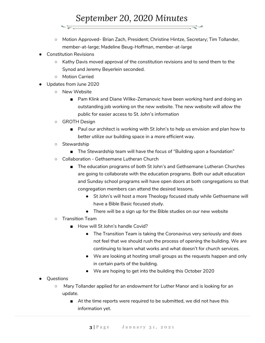# *September 20, 2020 Minutes*

- Motion Approved- Brian Zach, President; Christine Hintze, Secretary; Tim Tollander, member-at-large; Madeline Beug-Hoffman, member-at-large
- **Constitution Revisions** 
	- Kathy Davis moved approval of the constitution revisions and to send them to the Synod and Jeremy Beyerlein seconded.
	- Motion Carried
- Updates from June 2020
	- New Website
		- Pam Klink and Diane Wilke-Zemanovic have been working hard and doing an outstanding job working on the new website. The new website will allow the public for easier access to St. John's information
	- GROTH Design
		- Paul our architect is working with St John's to help us envision and plan how to better utilize our building space in a more efficient way.
	- Stewardship
		- The Stewardship team will have the focus of "Building upon a foundation"
	- Collaboration Gethsemane Lutheran Church
		- The education programs of both St John's and Gethsemane Lutheran Churches are going to collaborate with the education programs. Both our adult education and Sunday school programs will have open doors at both congregations so that congregation members can attend the desired lessons.
			- St John's will host a more Theology focused study while Gethsemane will have a Bible Basic focused study.
			- There will be a sign up for the Bible studies on our new website
	- Transition Team
		- How will St John's handle Covid?
			- The Transition Team is taking the Coronavirus very seriously and does not feel that we should rush the process of opening the building. We are continuing to learn what works and what doesn't for church services.
			- We are looking at hosting small groups as the requests happen and only in certain parts of the building.
			- We are hoping to get into the building this October 2020
- Questions
	- Mary Tollander applied for an endowment for Luther Manor and is looking for an update.
		- At the time reports were required to be submitted, we did not have this information yet.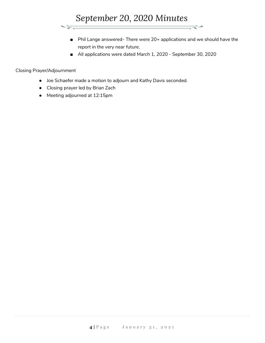

- Phil Lange answered- There were 20+ applications and we should have the report in the very near future.
- All applications were dated March 1, 2020 September 30, 2020

#### Closing Prayer/Adjournment

- Joe Schaefer made a motion to adjourn and Kathy Davis seconded.
- Closing prayer led by Brian Zach
- Meeting adjourned at 12:15pm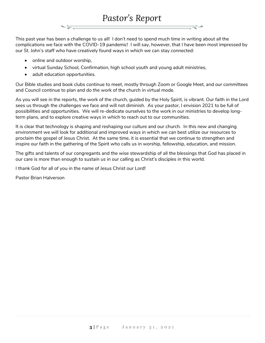This past year has been a challenge to us all! I don't need to spend much time in writing about all the complications we face with the COVID-19 pandemic! I will say, however, that I have been most impressed by our St. John's staff who have creatively found ways in which we can stay connected:

- online and outdoor worship,
- virtual Sunday School, Confirmation, high school youth and young adult ministries,
- adult education opportunities.

Our Bible studies and book clubs continue to meet, mostly through Zoom or Google Meet, and our committees and Council continue to plan and do the work of the church in virtual mode.

As you will see in the reports, the work of the church, guided by the Holy Spirit, is vibrant. Our faith in the Lord sees us through the challenges we face and will not diminish. As your pastor, I envision 2021 to be full of possibilities and opportunities. We will re-dedicate ourselves to the work in our ministries to develop longterm plans, and to explore creative ways in which to reach out to our communities.

It is clear that technology is shaping and reshaping our culture and our church. In this new and changing environment we will look for additional and improved ways in which we can best utilize our resources to proclaim the gospel of Jesus Christ. At the same time, it is essential that we continue to strengthen and inspire our faith in the gathering of the Spirit who calls us in worship, fellowship, education, and mission.

The gifts and talents of our congregants and the wise stewardship of all the blessings that God has placed in our care is more than enough to sustain us in our calling as Christ's disciples in this world.

I thank God for all of you in the name of Jesus Christ our Lord!

Pastor Brian Halverson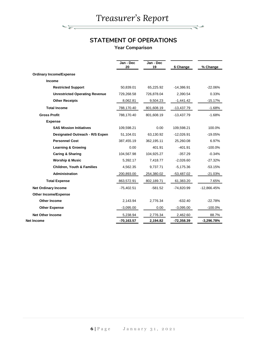*Treasurer's Report*

रूस

₹≁

# **STATEMENT OF OPERATIONS**

**Year Comparison**

|                                       | Jan - Dec<br>20 | Jan - Dec<br>19 | \$ Change    | % Change      |
|---------------------------------------|-----------------|-----------------|--------------|---------------|
| <b>Ordinary Income/Expense</b>        |                 |                 |              |               |
| Income                                |                 |                 |              |               |
| <b>Restricted Support</b>             | 50,839.01       | 65,225.92       | $-14,386.91$ | $-22.06%$     |
| <b>Unrestricted Operating Revenue</b> | 729,268.58      | 726,878.04      | 2,390.54     | 0.33%         |
| <b>Other Receipts</b>                 | 8,062.81        | 9,504.23        | $-1,441.42$  | $-15.17%$     |
| <b>Total Income</b>                   | 788,170.40      | 801,608.19      | $-13,437.79$ | $-1.68%$      |
| <b>Gross Profit</b>                   | 788,170.40      | 801,608.19      | $-13,437.79$ | $-1.68%$      |
| <b>Expense</b>                        |                 |                 |              |               |
| <b>SAS Mission Initiatives</b>        | 109,598.21      | 0.00            | 109,598.21   | 100.0%        |
| Designated Outreach - R/S Expen       | 51,104.01       | 63,130.92       | $-12,026.91$ | $-19.05%$     |
| <b>Personnel Cost</b>                 | 387,455.19      | 362,195.11      | 25,260.08    | 6.97%         |
| <b>Learning &amp; Growing</b>         | 0.00            | 401.91          | $-401.91$    | $-100.0%$     |
| Caring & Sharing                      | 104,567.98      | 104,925.27      | $-357.29$    | $-0.34%$      |
| <b>Worship &amp; Music</b>            | 5,392.17        | 7,418.77        | $-2,026.60$  | $-27.32%$     |
| <b>Children, Youth &amp; Families</b> | 4,562.35        | 9,737.71        | $-5,175.36$  | $-53.15%$     |
| <b>Administration</b>                 | 200,893.00      | 254,380.02      | $-53,487.02$ | $-21.03%$     |
| <b>Total Expense</b>                  | 863,572.91      | 802,189.71      | 61,383.20    | 7.65%         |
| <b>Net Ordinary Income</b>            | $-75,402.51$    | $-581.52$       | $-74,820.99$ | $-12,866.45%$ |
| <b>Other Income/Expense</b>           |                 |                 |              |               |
| <b>Other Income</b>                   | 2,143.94        | 2,776.34        | $-632.40$    | $-22.78%$     |
| <b>Other Expense</b>                  | $-3,095.00$     | 0.00            | $-3,095.00$  | -100.0%       |
| <b>Net Other Income</b>               | 5,238.94        | 2,776.34        | 2,462.60     | 88.7%         |
| Net Income                            | $-70,163.57$    | 2,194.82        | $-72,358.39$ | $-3,296.78%$  |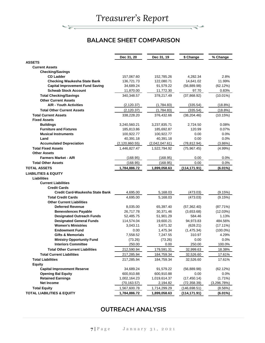क्र

ਵ≑≁

# **BALANCE SHEET COMPARISON**

|                                        | Dec 31, 20       | Dec 31, 19     | \$ Change     | % Change    |
|----------------------------------------|------------------|----------------|---------------|-------------|
| <b>ASSETS</b>                          |                  |                |               |             |
| <b>Current Assets</b>                  |                  |                |               |             |
| <b>Checking/Savings</b>                |                  |                |               |             |
| <b>CD Ladder</b>                       | 157,067.60       | 152,785.26     | 4,282.34      | 2.8%        |
| <b>Checking Waukesha State Bank</b>    | 136,721.73       | 122,080.71     | 14,641.02     | 11.99%      |
| <b>Capital Improvement Fund Saving</b> | 34,689.24        | 91,579.22      | (56, 889.98)  | (62.12%)    |
| <b>Schwab Stock Account</b>            | 11,870.00        | 11,772.30      | 97.70         | 0.83%       |
| <b>Total Checking/Savings</b>          | 340,348.57       | 378,217.49     | (37,868.92)   | $(10.01\%)$ |
| <b>Other Current Assets</b>            |                  |                |               |             |
| <b>A/R - Youth Activities</b>          | (2, 120.37)      | (1,784.83)     | (335.54)      | (18.8%)     |
| <b>Total Other Current Assets</b>      | (2, 120.37)      | (1,784.83)     | (335.54)      | $(18.8\%)$  |
| <b>Total Current Assets</b>            | 338,228.20       | 376,432.66     | (38, 204.46)  | (10.15%)    |
| <b>Fixed Assets</b>                    |                  |                |               |             |
| <b>Buildings</b>                       | 3,240,560.21     | 3,237,835.71   | 2,724.50      | 0.08%       |
| <b>Furniture and Fixtures</b>          | 185,813.86       | 185,692.87     | 120.99        | 0.07%       |
| <b>Musical Instruments</b>             | 100,922.77       | 100,922.77     | 0.00          | $0.0\%$     |
| Land                                   | 40,391.18        | 40,391.18      | 0.00          | 0.0%        |
| <b>Accumulated Depreciation</b>        | (2, 120, 860.55) | (2,042,047.61) | (78, 812.94)  | $(3.86\%)$  |
| <b>Total Fixed Assets</b>              | 1,446,827.47     | 1.522.794.92   | (75, 967.45)  | $(4.99\%)$  |
| <b>Other Assets</b>                    |                  |                |               |             |
| <b>Farmers Market - A/R</b>            | (168.95)         | (168.95)       | 0.00          | 0.0%        |
| <b>Total Other Assets</b>              | (168.95)         | (168.95)       | 0.00          | $0.0\%$     |
| <b>TOTAL ASSETS</b>                    | 1,784,886.72     | 1,899,058.63   | (114, 171.91) | $(6.01\%)$  |
| <b>LIABILITIES &amp; EQUITY</b>        |                  |                |               |             |
| <b>Liabilities</b>                     |                  |                |               |             |
| <b>Current Liabilities</b>             |                  |                |               |             |
| <b>Credit Cards</b>                    |                  |                |               |             |
| Credit Card-Waukesha State Bank        | 4,695.00         | 5,168.03       | (473.03)      | (9.15%)     |
| <b>Total Credit Cards</b>              | 4,695.00         | 5,168.03       | (473.03)      | (9.15%)     |
| <b>Other Current Liabilities</b>       |                  |                |               |             |
| <b>Deferred Revenue</b>                | 8,035.00         | 65,397.40      | (57, 362.40)  | (87.71%)    |
| <b>Benevolences Payable</b>            | 26,717.78        | 30,371.46      | (3,653.68)    | (12.03%)    |
| <b>Designated Outreach Funds</b>       | 52,485.75        | 51,901.29      | 584.46        | 1.13%       |
| <b>Designated General Funds</b>        | 114,574.04       | 19,600.21      | 94,973.83     | 484.56%     |
| <b>Women's Ministries</b>              | 3,043.11         | 3,671.32       | (628.21)      | $(17.11\%)$ |
| <b>Endowment Fund</b>                  | 0.00             | 1,475.34       | (1, 475.34)   | $(100.0\%)$ |
| <b>Gifts &amp; Memorials</b>           | 7,558.52         | 7,247.55       | 310.97        | 4.29%       |
| <b>Ministry Opportunity Fund</b>       | (73.26)          | (73.26)        | 0.00          | 0.0%        |
| <b>Interiors Committee</b>             | 250.00           | 0.00           | 250.00        | 100.0%      |
| <b>Total Other Current Liabilities</b> | 212,590.94       | 179,591.31     | 32,999.63     | 18.38%      |
| <b>Total Current Liabilities</b>       | 217,285.94       | 184,759.34     | 32,526.60     | 17.61%      |
| <b>Total Liabilities</b>               | 217,285.94       | 184,759.34     | 32,526.60     | 17.61%      |
| <b>Equity</b>                          |                  |                |               |             |
| <b>Capital Improvement Reserve</b>     | 34,689.24        | 91,579.22      | (56, 889.98)  | (62.12%)    |
| <b>Opening Bal Equity</b>              | 600,910.88       | 600,910.88     | 0.00          | 0.0%        |
| <b>Retained Earnings</b>               | 1,002,164.23     | 1,019,614.37   | (17, 450.14)  | $(1.71\%)$  |
| <b>Net Income</b>                      | (70, 163.57)     | 2,194.82       | (72, 358.39)  | (3,296.78%) |
| <b>Total Equity</b>                    | 1,567,600.78     | 1,714,299.29   | (146, 698.51) | $(8.56\%)$  |
| <b>TOTAL LIABILITIES &amp; EQUITY</b>  | 1,784,886.72     | 1,899,058.63   | (114, 171.91) | $(6.01\%)$  |

### **OUTREACH ANALYSIS**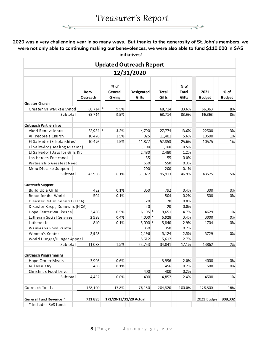कर

ਵ∸

**2020 was a very challenging year in so many ways. But thanks to the generosity of St. John's members, we were not only able to continuing making our benevolences, we were also able to fund \$110,000 in SAS initiatives!** $\mathbb{L}$  $\mathbf{L}$ 

| <b>Updated Outreach Report</b>  |                   |                             |                     |  |                |                          |                       |                         |
|---------------------------------|-------------------|-----------------------------|---------------------|--|----------------|--------------------------|-----------------------|-------------------------|
|                                 |                   |                             | 12/31/2020          |  |                |                          |                       |                         |
|                                 | Benv.<br>Outreach | $%$ of<br>General<br>Giving | Designated<br>Gifts |  | Total<br>Gifts | $%$ of<br>Total<br>Gifts | 2021<br><b>Budget</b> | $%$ of<br><b>Budget</b> |
| <b>Greater Church</b>           |                   |                             |                     |  |                |                          |                       |                         |
| Greater Milwaukee Synod         | $68,714$ *        | 9.5%                        |                     |  | 68,714         | 33.6%                    | 66,363                | 8%                      |
| Subtotal                        | 68.714            | 9.5%                        |                     |  | 68,714         | 33.6%                    | 66.363                | 8%                      |
| <b>Outreach Partnerships</b>    |                   |                             |                     |  |                |                          |                       |                         |
| Akeri Benevolence               | $22,984$ *        | 3.2%                        | 4,790               |  | 27,774         | 13.6%                    | 22500                 | 3%                      |
| All People's Church             | 10,476            | 1.5%                        | 925                 |  | 11,401         | 5.6%                     | 10500                 | 1%                      |
| El Salvador (Scholarships)      | 10,476            | 1.5%                        | 41,877              |  | 52,353         | 25.6%                    | 10575                 | 1%                      |
| El Salvador (Healing Mission)   |                   |                             | 1,100               |  | 1,100          | 0.5%                     |                       |                         |
| El Salvador (Days for Girls Kit |                   |                             | 2,480               |  | 2,480          | 1.2%                     |                       |                         |
| Los Heroes Preschool            |                   |                             | 55                  |  | 55             | 0.0%                     |                       |                         |
| Partnership Greatest Need       |                   |                             | 550                 |  | 550            | 0.3%                     |                       |                         |
| Meru Diocese Support            |                   |                             | 200                 |  | 200            | 0.1%                     |                       |                         |
| Subtotal                        | 43,936            | 6.1%                        | 51,977              |  | 95,913         | 46.9%                    | 43575                 | 5%                      |
|                                 |                   |                             |                     |  |                |                          |                       |                         |
| <b>Outreach Support</b>         |                   |                             |                     |  |                |                          |                       |                         |
| Build Up a Child                | 432               | 0.1%                        | 360                 |  | 792            | 0.4%                     | 300                   | 0%                      |
| Bread for the World             | 504               | 0.1%                        |                     |  | 504            | 0.2%                     | 500                   | 0%                      |
| Disaster Relief General (ELCA)  |                   |                             | 20                  |  | 20             | 0.0%                     |                       |                         |
| Disaster Resp., Domestic (ELCA) |                   |                             | 20                  |  | 20             | 0.0%                     |                       |                         |
| Hope Center Waukesha            | 3,456             | 0.5%                        | $6,195$ *           |  | 9,651          | 4.7%                     | 4629                  | 1%                      |
| Lutheran Social Services        | 2,928             | 0.4%                        | $4,000$ *           |  | 6,928          | 3.4%                     | 3000                  | 0%                      |
| Lutherdale                      | 840               | 0.1%                        | $5,000$ *           |  | 5,840          | 2.9%                     | 1704                  | 0%                      |
| Waukesha Food Pantry            |                   |                             | 350                 |  | 350            | 0.2%                     |                       |                         |
| Women's Center                  | 2,928             |                             | 2,196               |  | 5,124          | 2.5%                     | 3729                  | 0%                      |
| World Hunger/Hunger Appeal      |                   |                             | 5,612               |  | 5,612          | 2.7%                     |                       |                         |
| Subtotal                        | 11,088            | 1.5%                        | 23,753              |  | 34,841         | 17.1%                    | 13862                 | 2%                      |
| <b>Outreach Programming</b>     |                   |                             |                     |  |                |                          |                       |                         |
| Hope Center Meals               | 3,996             | 0.6%                        |                     |  | 3,996          | 2.0%                     | 4000                  | 0%                      |
| Jail Ministry                   | 456               | 0.1%                        |                     |  | 456            | 0.2%                     | 500                   | 0%                      |
| Christmas Food Drive            |                   |                             | 400                 |  | 400            | 0.2%                     |                       |                         |
| Subtotal                        | 4,452             | 0.6%                        | 400                 |  | 4,852          | 2.4%                     | 4500                  | 1%                      |
|                                 |                   |                             |                     |  |                |                          |                       |                         |
| Outreach Totals                 | 128,190           | 17.8%                       | 76,130              |  | 204,320        | 100.0%                   | 128,300               | 16%                     |
| General Fund Revenue *          | 721,895           | 1/1/20-12/31/20 Actual      |                     |  |                |                          | 2021 Budge            | 808,332                 |
| * Includes SAS funds            |                   |                             |                     |  |                |                          |                       |                         |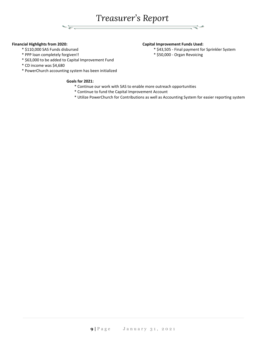*Treasurer's Report*

#### **Financial Highlights from 2020: Capital Improvement Funds Used:**

- 
- \* PPP loan completely forgiven!! \* \$50,000 Organ Revoicing
- \* \$63,000 to be added to Capital Improvement Fund

ल्रू

- \* CD income was \$4,680
- \* PowerChurch accounting system has been initialized

#### **Goals for 2021:**

- \* Continue our work with SAS to enable more outreach opportunities
- \* Continue to fund the Capital Improvement Account
- \* Utilize PowerChurch for Contributions as well as Accounting System for easier reporting system
- 
- \* \$110,000 SAS Funds disbursed \* \$43,505 Final payment for Sprinkler System
	-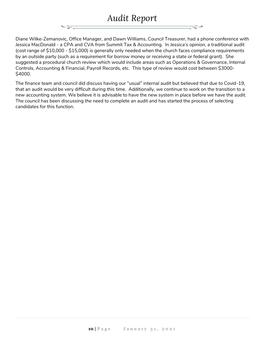# *Audit Report*

Diane Wilke-Zemanovic, Office Manager, and Dawn Williams, Council Treasurer, had a phone conference with Jessica MacDonald - a CPA and CVA from Summit Tax & Accounting. In Jessica's opinion, a traditional audit (cost range of \$10,000 - \$15,000) is generally only needed when the church faces compliance requirements by an outside party (such as a requirement for borrow money or receiving a state or federal grant). She suggested a procedural church review which would include areas such as Operations & Governance, Internal Controls, Accounting & Financial, Payroll Records, etc. This type of review would cost between \$3000- \$4000.

The finance team and council did discuss having our "usual" internal audit but believed that due to Covid-19, that an audit would be very difficult during this time. Additionally, we continue to work on the transition to a new accounting system. We believe it is advisable to have the new system in place before we have the audit. The council has been discussing the need to complete an audit and has started the process of selecting candidates for this function.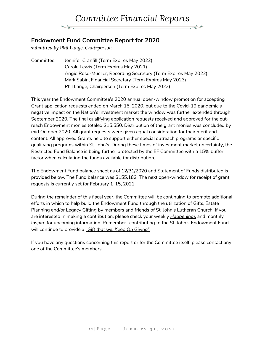### **Endowment Fund Committee Report for 2020**

*submitted by Phil Lange, Chairperson*

Committee: Jennifer Cranfill (Term Expires May 2022) Carole Lewis (Term Expires May 2021) Angie Rose-Mueller, Recording Secretary (Term Expires May 2022) Mark Sabin, Financial Secretary (Term Expires May 2023) Phil Lange, Chairperson (Term Expires May 2023)

This year the Endowment Committee's 2020 annual open-window promotion for accepting Grant application requests ended on March 15, 2020, but due to the Covid-19 pandemic's negative impact on the Nation's investment market the window was further extended through September 2020. The final qualifying application requests received and approved for the outreach Endowment monies totaled \$15,550. Distribution of the grant monies was concluded by mid October 2020. All grant requests were given equal consideration for their merit and content. All approved Grants help to support either special outreach programs or specific qualifying programs within St. John's. During these times of investment market uncertainty, the Restricted Fund Balance is being further protected by the EF Committee with a 15% buffer factor when calculating the funds available for distribution.

The Endowment Fund balance sheet as of 12/31/2020 and Statement of Funds distributed is provided below. The Fund balance was \$155,182. The next open-window for receipt of grant requests is currently set for February 1-15, 2021.

During the remainder of this fiscal year, the Committee will be continuing to promote additional efforts in which to help build the Endowment Fund through the utilization of Gifts, Estate Planning and/or Legacy Gifting by members and friends of St. John's Lutheran Church. If you are interested in making a contribution, please check your weekly *Happenings* and monthly *Inspire* for upcoming information. Remember…contributing to the St. John's Endowment Fund will continue to provide a "*Gift that will Keep On Giving".*

If you have any questions concerning this report or for the Committee itself, please contact any one of the Committee's members.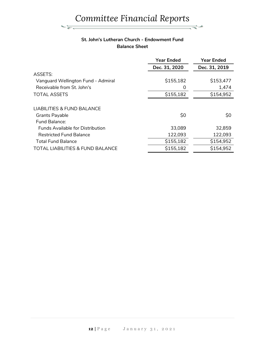#### **St. John's Lutheran Church - Endowment Fund Balance Sheet**

|                                             | <b>Year Ended</b> | <b>Year Ended</b> |
|---------------------------------------------|-------------------|-------------------|
|                                             | Dec. 31, 2020     | Dec. 31, 2019     |
| ASSETS:                                     |                   |                   |
| Vanguard Wellington Fund - Admiral          | \$155,182         | \$153,477         |
| Receivable from St. John's                  |                   | 1,474             |
| <b>TOTAL ASSETS</b>                         | \$155,182         | \$154,952         |
| <b>LIABILITIES &amp; FUND BALANCE</b>       |                   |                   |
| <b>Grants Payable</b><br>Fund Balance:      | \$0               | \$0               |
| <b>Funds Available for Distribution</b>     | 33,089            | 32,859            |
| <b>Restricted Fund Balance</b>              | 122,093           | 122,093           |
| <b>Total Fund Balance</b>                   | \$155,182         | \$154,952         |
| <b>TOTAL LIABILITIES &amp; FUND BALANCE</b> | \$155,182         | \$154,952         |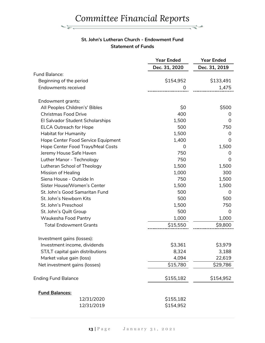#### **St. John's Lutheran Church - Endowment Fund Statement of Funds**

 $\frac{1}{\sqrt{1-\mu}}$ 

|                                    | <b>Year Ended</b> | <b>Year Ended</b> |
|------------------------------------|-------------------|-------------------|
|                                    | Dec. 31, 2020     | Dec. 31, 2019     |
| Fund Balance:                      |                   |                   |
| Beginning of the period            | \$154,952         | \$133,491         |
| <b>Endowments received</b>         | 0                 | 1,475             |
| Endowment grants:                  |                   |                   |
| All Peoples Children's' Bibles     | \$0               | \$500             |
| <b>Christmas Food Drive</b>        | 400               | 0                 |
| El Salvador Student Scholarships   | 1,500             | 0                 |
| <b>ELCA Outreach for Hope</b>      | 500               | 750               |
| Habitat for Humanity               | 1,500             | 0                 |
| Hope Center Food Service Equipment | 1,400             | 0                 |
| Hope Center Food Trays/Meal Costs  | 0                 | 1,500             |
| Jeremy House Safe Haven            | 750               | 0                 |
| Luther Manor - Technology          | 750               | 0                 |
| Lutheran School of Theology        | 1,500             | 1,500             |
| <b>Mission of Healing</b>          | 1,000             | 300               |
| Siena House - Outside In           | 750               | 1,500             |
| Sister House/Women's Center        | 1,500             | 1,500             |
| St. John's Good Samaritan Fund     | 500               | 0                 |
| St. John's Newborn Kits            | 500               | 500               |
| St. John's Preschool               | 1,500             | 750               |
| St. John's Quilt Group             | 500               | 0                 |
| Waukesha Food Pantry               | 1,000             | 1,000             |
| <b>Total Endowment Grants</b>      | \$15,550          | \$9,800           |
| Investment gains (losses):         |                   |                   |
| Investment income, dividends       | \$3,361           | \$3,979           |
| ST/LT capital gain distributions   | 8,324             | 3,188             |
| Market value gain (loss)           | 4,094             | 22,619            |
| Net investment gains (losses)      | \$15,780          | \$29,786          |
| <b>Ending Fund Balance</b>         | \$155,182         | \$154,952         |
| <b>Fund Balances:</b>              |                   |                   |
| 12/31/2020                         | \$155,182         |                   |
| 12/31/2019                         | \$154,952         |                   |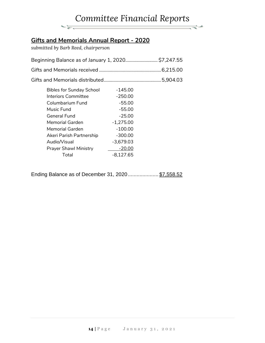#### *Committee Financial Reports*  $\Rightarrow$  $\frac{1}{\sqrt{2\pi}}\left( \frac{1}{\sqrt{2\pi}}\right) \left( \frac{1}{\sqrt{2\pi}}\right) \left( \frac{1}{\sqrt{2\pi}}\right) \left( \frac{1}{\sqrt{2\pi}}\right) \left( \frac{1}{\sqrt{2\pi}}\right) \left( \frac{1}{\sqrt{2\pi}}\right) \left( \frac{1}{\sqrt{2\pi}}\right) \left( \frac{1}{\sqrt{2\pi}}\right) \left( \frac{1}{\sqrt{2\pi}}\right) \left( \frac{1}{\sqrt{2\pi}}\right) \left( \frac{1}{\sqrt{2\pi}}\right) \left( \frac{1}{\sqrt$

# **Gifts and Memorials Annual Report - 2020**

*submitted by Barb Reed, chairperson*

| Beginning Balance as of January 1, 2020 \$7,247.55 |  |
|----------------------------------------------------|--|
|                                                    |  |
|                                                    |  |
| Bibles for Sunday School -145.00                   |  |

| pipics for safiaay scribbi   | 170.UU      |
|------------------------------|-------------|
| <b>Interiors Committee</b>   | $-250.00$   |
| Columbarium Fund             | $-55.00$    |
| Music Fund                   | $-55.00$    |
| General Fund                 | $-25.00$    |
| Memorial Garden              | $-1,275.00$ |
| Memorial Garden              | $-100.00$   |
| Akeri Parish Partnership     | $-300.00$   |
| Audio/Visual                 | $-3,679.03$ |
| <b>Prayer Shawl Ministry</b> | $-20.00$    |
| Total                        | $-8,127.65$ |

Ending Balance as of December 31, 2020...................... \$7,558.52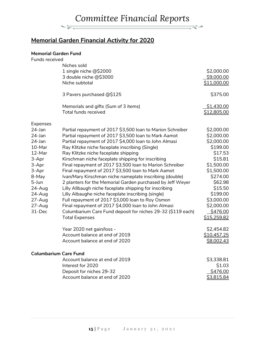# **Memorial Garden Financial Activity for 2020**

#### **Memorial Garden Fund**

 $\frac{1}{\sqrt{2\pi}}\sum_{n=1}^{\infty}\frac{1}{\sqrt{2\pi}}\sum_{n=1}^{\infty}\frac{1}{n^{2n+1}}\sum_{n=1}^{\infty}\frac{1}{n^{2n+1}}\sum_{n=1}^{\infty}\frac{1}{n^{2n+1}}\sum_{n=1}^{\infty}\frac{1}{n^{2n+1}}\sum_{n=1}^{\infty}\frac{1}{n^{2n+1}}\sum_{n=1}^{\infty}\frac{1}{n^{2n+1}}\sum_{n=1}^{\infty}\frac{1}{n^{2n+1}}\sum_{n=1}^{\infty}\frac{1}{n^{2n+1}}\$ 

| Funds received |                                                             |             |
|----------------|-------------------------------------------------------------|-------------|
|                | Niches sold                                                 |             |
|                | 1 single niche @\$2000                                      | \$2,000.00  |
|                | 3 double niche @\$3000                                      | \$9,000.00  |
|                | Niche subtotal                                              | \$11,000.00 |
|                | 3 Pavers purchased @\$125                                   | \$375.00    |
|                |                                                             |             |
|                | Memorials and gifts (Sum of 3 items)                        | \$1,430.00  |
|                | <b>Total funds received</b>                                 | \$12,805.00 |
| Expenses       |                                                             |             |
| $24$ -Jan      | Partial repayment of 2017 \$3,500 loan to Marion Schreiber  | \$2,000.00  |
| 24-Jan         | Partial repayment of 2017 \$3,500 loan to Mark Aamot        | \$2,000.00  |
| 24-Jan         | Partial repayment of 2017 \$4,000 loan to John Almasi       | \$2,000.00  |
| 10-Mar         | Ray Klitzke niche faceplate inscribing (Single)             | \$199.00    |
| 12-Mar         | Ray Klitzke niche faceplate shipping                        | \$17.53     |
| 3-Apr          | Kirschman niche faceplate shipping for inscribing           | \$15.81     |
| 3-Apr          | Final repayment of 2017 \$3,500 loan to Marion Schreiber    | \$1,500.00  |
| 3-Apr          | Final repayment of 2017 \$3,500 loan to Mark Aamot          | \$1,500.00  |
| 8-May          | Ivan/Mary Kirschman niche nameplate inscribing (double)     | \$274.00    |
| 5-Jun          | 2 planters for the Memorial Garden purchased by Jeff Weyer  | \$62.98     |
| 24-Aug         | Lilly Allbaugh niche faceplate shipping for inscribing      | \$15.50     |
| $24 - Aug$     | Lilly Albaughe niche faceplate inscribing (single)          | \$199.00    |
| $27 - Aug$     | Full repayment of 2017 \$3,000 loan to Roy Osmon            | \$3,000.00  |
| $27 - Aug$     | Final repayment of 2017 \$4,000 loan to John Almasi         | \$2,000.00  |
| 31-Dec         | Columbarium Care Fund deposit for niches 29-32 (\$119 each) | \$476.00    |
|                | <b>Total Expenses</b>                                       | \$15,259.82 |
|                | Year 2020 net gain/loss -                                   | \$2,454.82  |
|                | Account balance at end of 2019                              | \$10,457.25 |
|                | Account balance at end of 2020                              | \$8,002.43  |
|                | <b>Columbarium Care Fund</b>                                |             |
|                | Account balance at end of 2019                              | \$3,338.81  |
|                | Interest for 2020                                           | \$1.03      |
|                | Deposit for niches 29-32                                    | \$476.00    |
|                | Account balance at end of 2020                              | \$3,815.84  |
|                |                                                             |             |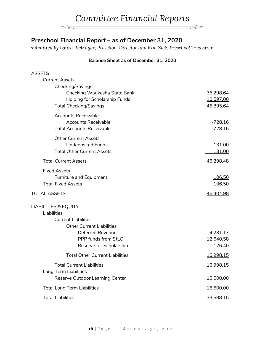

## **Preschool Financial Report – as of December 31, 2020**

*submitted by Laura Rickinger, Preschool Director and Kim Zick, Preschool Treasurer*

#### **Balance Sheet as of December 31, 2020**

#### ASSETS

|              | <b>Current Assets</b><br>Checking/Savings |                |
|--------------|-------------------------------------------|----------------|
|              | Checking Waukesha State Bank              | 36,298.64      |
|              | Holding for Scholarship Funds             | 10,597.00      |
|              | <b>Total Checking/Savings</b>             | 46,895.64      |
|              | <b>Accounts Receivable</b>                |                |
|              | <b>Accounts Receivable</b>                | <u>-728.16</u> |
|              | <b>Total Accounts Receivable</b>          | $-728.16$      |
|              | <b>Other Current Assets</b>               |                |
|              | <b>Undeposited Funds</b>                  | 131.00         |
|              | <b>Total Other Current Assets</b>         | 131.00         |
|              | <b>Total Current Assets</b>               | 46,298.48      |
|              | <b>Fixed Assets</b>                       |                |
|              | <b>Furniture and Equipment</b>            | 106.50         |
|              | <b>Total Fixed Assets</b>                 | <u>106.50</u>  |
| TOTAL ASSETS |                                           | 46,404.98      |
|              | <b>LIABILITIES &amp; EQUITY</b>           |                |
|              | Liabilities                               |                |
|              | <b>Current Liabilities</b>                |                |
|              | <b>Other Current Liabilities</b>          |                |
|              | <b>Deferred Revenue</b>                   | 4,231.17       |
|              | PPP funds from SJLC                       | 12,640.58      |
|              | Reserve for Scholarship                   | 126.40         |
|              | <b>Total Other Current Liabilities</b>    | 16,998.15      |
|              | <b>Total Current Liabilities</b>          | 16,998.15      |
|              | Long Term Liabilities                     |                |
|              | Reserve Outdoor Learning Center           | 16,600.00      |
|              | <b>Total Long Term Liabilities</b>        | 16,600.00      |
|              | <b>Total Liabilities</b>                  | 33,598.15      |
|              |                                           |                |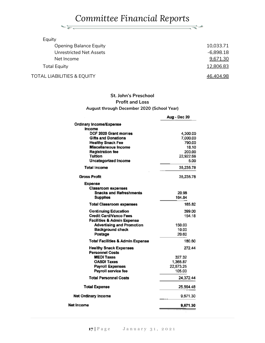$\frac{1}{\sqrt{2\pi}}\frac{1}{\sqrt{2\pi}}\frac{1}{\sqrt{2\pi}}\frac{1}{\sqrt{2\pi}}\frac{1}{\sqrt{2\pi}}\frac{1}{\sqrt{2\pi}}\frac{1}{\sqrt{2\pi}}\frac{1}{\sqrt{2\pi}}\frac{1}{\sqrt{2\pi}}\frac{1}{\sqrt{2\pi}}\frac{1}{\sqrt{2\pi}}\frac{1}{\sqrt{2\pi}}\frac{1}{\sqrt{2\pi}}\frac{1}{\sqrt{2\pi}}\frac{1}{\sqrt{2\pi}}\frac{1}{\sqrt{2\pi}}\frac{1}{\sqrt{2\pi}}\frac{1}{\sqrt{2\pi}}\frac{1$ 

₹∸

| Equity                                |             |
|---------------------------------------|-------------|
| <b>Opening Balance Equity</b>         | 10,033.71   |
| <b>Unrestricted Net Assets</b>        | $-6,898.18$ |
| Net Income                            | 9,671.30    |
| <b>Total Equity</b>                   | 12,806.83   |
| <b>TOTAL LIABILITIES &amp; EQUITY</b> | 46,404.98   |

#### **St. John's Preschool Profit and Loss August through December 2020 (School Year)**

|                                                                           | Aug - Dec 20      |
|---------------------------------------------------------------------------|-------------------|
| Ordinary Income/Expense                                                   |                   |
| Income                                                                    |                   |
| DCF 2020 Grant monies                                                     | 4,300.00          |
| <b>Gifts and Donations</b>                                                | 7,000.00          |
| <b>Healthy Snack Fee</b>                                                  | 790.00            |
| Miscellaneous Income                                                      | 18.10             |
| <b>Registration fee</b>                                                   | 200.00            |
| Tuition                                                                   | 22,922.68<br>5.00 |
| Uncategorized Income                                                      |                   |
| Total Income                                                              | 35,235.78         |
| <b>Gross Profit</b>                                                       | 35,235.78         |
| Expense                                                                   |                   |
| <b>Classroom expenses</b><br><b>Snacks and Refreshments</b>               | 20.98             |
| Supplies                                                                  | 164.84            |
|                                                                           |                   |
| <b>Total Classroom expenses</b>                                           | 185.82            |
| Continuing Education                                                      | 399.00            |
| <b>Credit Card/Vanco Fees</b>                                             | 154.18            |
| <b>Facilities &amp; Admin Expense</b><br><b>Advertising and Promotion</b> | 150.00            |
| <b>Background check</b>                                                   | 10.00             |
| Postage                                                                   | 20.60             |
| <b>Total Facilities &amp; Admin Expense</b>                               | 180.60            |
|                                                                           |                   |
| <b>Healthy Snack Expenses</b><br><b>Personnel Costs</b>                   | 272.44            |
| <b>MEDI Taxes</b>                                                         | 327.32            |
| <b>OASDI Taxes</b>                                                        | 1,366.87          |
| <b>Payroll Expenses</b>                                                   | 22,573.25         |
| Payroll service fee                                                       | 105.00            |
| <b>Total Personnel Costs</b>                                              | 24,372.44         |
| <b>Total Expense</b>                                                      | 25,564.48         |
| <b>Net Ordinary Income</b>                                                | 9,671.30          |
| Net Income                                                                | 9,671.30          |
|                                                                           |                   |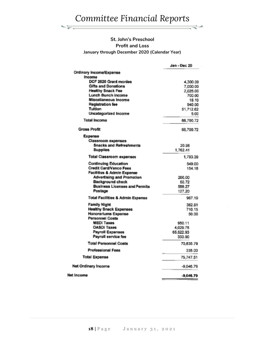$\frac{1}{\sqrt{2\pi}}\frac{1}{\sqrt{2\pi}}\frac{1}{\sqrt{2\pi}}\frac{1}{\sqrt{2\pi}}\frac{1}{\sqrt{2\pi}}\frac{1}{\sqrt{2\pi}}\frac{1}{\sqrt{2\pi}}\frac{1}{\sqrt{2\pi}}\frac{1}{\sqrt{2\pi}}\frac{1}{\sqrt{2\pi}}\frac{1}{\sqrt{2\pi}}\frac{1}{\sqrt{2\pi}}\frac{1}{\sqrt{2\pi}}\frac{1}{\sqrt{2\pi}}\frac{1}{\sqrt{2\pi}}\frac{1}{\sqrt{2\pi}}\frac{1}{\sqrt{2\pi}}\frac{1}{\sqrt{2\pi}}\frac{1$ 

 $\Rightarrow$ 

#### **St. John's Preschool Profit and Loss January through December 2020 (Calendar Year)**

|                                               | Jan - Dec 20        |
|-----------------------------------------------|---------------------|
| Ordinary Incoma/Expense                       |                     |
| <b>Income</b><br>DCF 2020 Grant monies        |                     |
| <b>Gifts and Donations</b>                    | 4,300.00            |
| <b>Healthy Snack Fee</b>                      | 7,000.00            |
| Lunch Bunch Income                            | 2,025.00            |
| Miscellaneous Income                          | 700.00<br>18.10     |
| <b>Registration fee</b>                       |                     |
| <b>Tuition</b>                                | 940.00<br>51,712.62 |
| <b>Uncategorized Income</b>                   | 5.00                |
| <b>Total Income</b>                           | 66.700.72           |
| Gross Profit                                  | 66,700.72           |
| Expense                                       |                     |
| Classroom expenses                            |                     |
| <b>Snacks and Refreshments</b>                | 20.98               |
| <b>Supplies</b>                               | 1.762.41            |
| <b>Total Classroom expenses</b>               | 1,783.39            |
| <b>Continuing Education</b>                   | 549.00              |
| <b>Credit Card/Vanco Fees</b>                 | 154.18              |
| <b>Facilities &amp; Admin Expense</b>         |                     |
| <b>Advertising and Promotion</b>              | 200.00              |
| <b>Background check</b>                       | 50.72               |
| <b>Business Licenses and Permits</b>          | 588.27              |
| Postage                                       | 127.20              |
| <b>Total Facilities &amp; Admin Expense</b>   | 967.19              |
| <b>Family Night</b>                           | 362.81              |
| <b>Healthy Snack Expenses</b>                 | 710.15              |
| Honorariums Expense<br><b>Personnel Costs</b> | 50.00               |
| <b>MEDI Taxes</b>                             | 950.11              |
| <b>OASDI Taxes</b>                            | 4,029.75            |
| Payroll Expenses                              | 65,522.93           |
| Pavroll service fee                           | 333.00              |
| <b>Total Personnel Costs</b>                  | 70.635.79           |
| <b>Professional Fees</b>                      | 335.00              |
| <b>Total Expense</b>                          | 75,747.51           |
| Net Ordinary Income                           | $-9.046.79$         |
| Net Income                                    | $-9.046.79$         |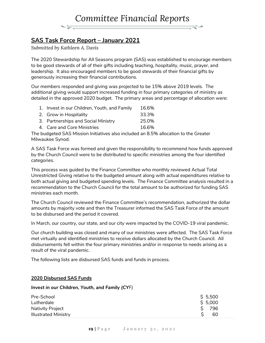

### **SAS Task Force Report – January 2021**

*Submitted by Kathleen A. Davis*

The 2020 Stewardship for All Seasons program (SAS) was established to encourage members to be good stewards of all of their gifts including teaching, hospitality, music, prayer, and leadership. It also encouraged members to be good stewards of their financial gifts by generously increasing their financial contributions.

Our members responded and giving was projected to be 15% above 2019 levels. The additional giving would support increased funding in four primary categories of ministry as detailed in the approved 2020 budget. The primary areas and percentage of allocation were:

| 1. Invest in our Children, Youth, and Family | 16.6% |
|----------------------------------------------|-------|
| 2. Grow in Hospitality                       | 33.3% |
| 3. Partnerships and Social Ministry          | 25.0% |
| 4. Care and Core Ministries                  | 16.6% |

The budgeted SAS Mission Initiatives also included an 8.5% allocation to the Greater Milwaukee Synod.

A SAS Task Force was formed and given the responsibility to recommend how funds approved by the Church Council were to be distributed to specific ministries among the four identified categories.

This process was guided by the Finance Committee who monthly reviewed Actual Total Unrestricted Giving relative to the budgeted amount along with actual expenditures relative to both actual giving and budgeted spending levels. The Finance Committee analysis resulted in a recommendation to the Church Council for the total amount to be authorized for funding SAS ministries each month.

The Church Council reviewed the Finance Committee's recommendation, authorized the dollar amounts by majority vote and then the Treasurer informed the SAS Task Force of the amount to be disbursed and the period it covered.

In March, our country, our state, and our city were impacted by the COVID-19 viral pandemic.

Our church building was closed and many of our ministries were affected. The SAS Task Force met virtually and identified ministries to receive dollars allocated by the Church Council. All disbursements fell within the four primary ministries and/or in response to needs arising as a result of the viral pandemic.

The following lists are disbursed SAS funds and funds in process.

#### **2020 Disbursed SAS Funds**

#### *Invest in our Children, Youth, and Family (CYF)*

| Pre-School                  | \$5,500 |
|-----------------------------|---------|
| Lutherdale                  | \$5,000 |
| <b>Nativity Project</b>     | 796     |
| <b>Illustrated Ministry</b> | 60      |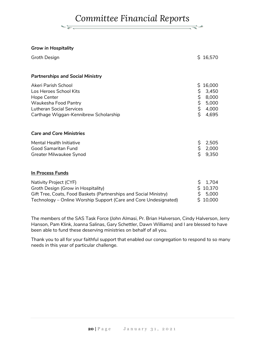₹≁

#### *Grow in Hospitality*

| Groth Design                                                                                                                                                     |                                   | \$16,570                                            |
|------------------------------------------------------------------------------------------------------------------------------------------------------------------|-----------------------------------|-----------------------------------------------------|
| <b>Partnerships and Social Ministry</b>                                                                                                                          |                                   |                                                     |
| Akeri Parish School<br>Los Heroes School Kits<br>Hope Center<br>Waukesha Food Pantry<br><b>Lutheran Social Services</b><br>Carthage Wiggan-Kennibrew Scholarship | \$<br>\$.<br>\$<br>\$<br>\$<br>\$ | 16,000<br>3,450<br>8,000<br>5,000<br>4,000<br>4,695 |
| <b>Care and Core Ministries</b>                                                                                                                                  |                                   |                                                     |
| <b>Mental Health Initiative</b><br><b>Good Samaritan Fund</b><br>Greater Milwaukee Synod                                                                         | \$<br>\$<br>\$                    | 2,505<br>2,000<br>9,350                             |
| In Process Funds                                                                                                                                                 |                                   |                                                     |
| Nativity Project (CYF)<br>Groth Design (Grow in Hospitality)<br>Gift Tree, Coats, Eood Baskets (Partnershins and Social Ministry)                                | \$<br>Ś.                          | 1,704<br>\$10,370<br>5.000                          |

| OIL TTCC, COdes, I OOU DasKCes (Farthcromps and Oocial Ministry) | o olou   |
|------------------------------------------------------------------|----------|
| Technology – Online Worship Support (Care and Core Undesignated) | \$10,000 |

The members of the SAS Task Force (John Almasi, Pr. Brian Halverson, Cindy Halverson, Jerry Hanson, Pam Klink, Joanna Salinas, Gary Schettler, Dawn Williams) and I are blessed to have been able to fund these deserving ministries on behalf of all you.

Thank you to all for your faithful support that enabled our congregation to respond to so many needs in this year of particular challenge.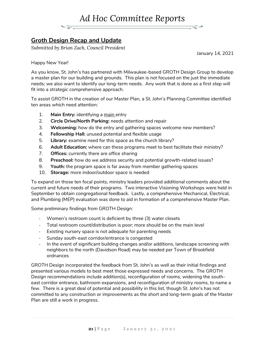

## **Groth Design Recap and Update**

*Submitted by Brian Zach, Council President*

January 14, 2021

Happy New Year!

As you know, St. John's has partnered with Milwaukee-based GROTH Design Group to develop a master plan for our building and grounds. This plan is not focused on the just the immediate needs; we also want to identify our long-term needs. Any work that is done as a first step will fit into a strategic comprehensive approach.

To assist GROTH in the creation of our Master Plan, a St. John's Planning Committee identified ten areas which need attention:

- 1. **Main Entry:** identifying a main entry
- 2. **Circle Drive/North Parking:** needs attention and repair
- 3. **Welcoming:** how do the entry and gathering spaces welcome new members?
- 4. **Fellowship Hall:** unused potential and flexible usage
- 5. **Library:** examine need for this space as the church library?
- 6. **Adult Education:** where can these programs meet to best facilitate their ministry?
- 7. **Offices:** currently there are office sharing
- 8. **Preschool:** how do we address security and potential growth-related issues?
- 9. **Youth:** the program space is far away from member gathering spaces
- 10. **Storage:** more indoor/outdoor space is needed

To expand on those ten focal points, ministry leaders provided additional comments about the current and future needs of their programs. Two interactive Visioning Workshops were held in September to obtain congregational feedback. Lastly, a comprehensive Mechanical, Electrical, and Plumbing (MEP) evaluation was done to aid in formation of a comprehensive Master Plan.

Some preliminary findings from GROTH Design:

- Women's restroom count is deficient by three (3) water closets
- Total restroom count/distribution is poor; more should be on the main level
- Existing nursery space is not adequate for parenting needs
- Sunday south-east corridor/entrance is congested
- In the event of significant building changes and/or additions, landscape screening with neighbors to the north (Davidson Road) may be needed per Town of Brookfield ordnances

GROTH Design incorporated the feedback from St. John's as well as their initial findings and presented various models to best meet those expressed needs and concerns. The GROTH Design recommendations include addition(s), reconfiguration of rooms, widening the southeast corridor entrance, bathroom expansions, and reconfiguration of ministry rooms, to name a few. There is a great deal of potential and possibility in this list, though St. John's has not committed to any construction or improvements as the short and long-term goals of the Master Plan are still a work in progress.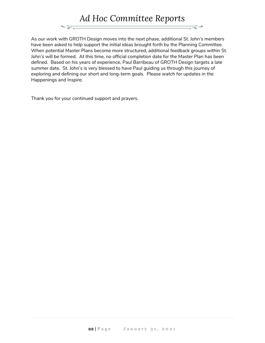

As our work with GROTH Design moves into the next phase, additional St. John's members have been asked to help support the initial ideas brought forth by the Planning Committee. When potential Master Plans become more structured, additional feedback groups within St. John's will be formed. At this time, no official completion date for the Master Plan has been defined. Based on his years of experience, Paul Barribeau of GROTH Design targets a late summer date. St. John's is very blessed to have Paul guiding us through this journey of exploring and defining our short and long-term goals. Please watch for updates in the Happenings and Inspire.

Thank you for your continued support and prayers.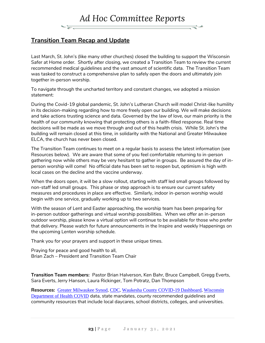### **Transition Team Recap and Update**

Last March, St. John's (like many other churches) closed the building to support the Wisconsin Safer at Home order. Shortly after closing, we created a Transition Team to review the current recommended medical guidelines and the vast amount of scientific data. The Transition Team was tasked to construct a comprehensive plan to safely open the doors and ultimately join together in-person worship.

To navigate through the uncharted territory and constant changes, we adopted a mission statement:

During the Covid-19 global pandemic, St. John's Lutheran Church will model Christ-like humility in its decision-making regarding how to more freely open our building. We will make decisions and take actions trusting science and data. Governed by the law of love, our main priority is the health of our community knowing that protecting others is a faith-filled response. Real time decisions will be made as we move through and out of this health crisis. While St. John's the building will remain closed at this time, in solidarity with the National and Greater Milwaukee ELCA, the church has never been closed.

The Transition Team continues to meet on a regular basis to assess the latest information (see Resources below). We are aware that some of you feel comfortable returning to in-person gathering now while others may be very hesitant to gather in groups. Be assured the day of inperson worship will come! No official date has been set to reopen but, optimism is high with local cases on the decline and the vaccine underway.

When the doors open, it will be a slow rollout, starting with staff led small groups followed by non-staff led small groups. This phase or step approach is to ensure our current safety measures and procedures in place are effective. Similarly, indoor in-person worship would begin with one service, gradually working up to two services.

With the season of Lent and Easter approaching, the worship team has been preparing for in-person outdoor gatherings and virtual worship possibilities. When we offer an in-person outdoor worship, please know a virtual option will continue to be available for those who prefer that delivery. Please watch for future announcements in the Inspire and weekly Happenings on the upcoming Lenten worship schedule.

Thank you for your prayers and support in these unique times.

Praying for peace and good health to all, Brian Zach – President and Transition Team Chair

**Transition Team members:** Pastor Brian Halverson, Ken Bahr, Bruce Campbell, Gregg Everts, Sara Everts, Jerry Hanson, Laura Rickinger, Tom Potratz, Dan Thompson

**Resources:** [Greater Milwaukee Synod](https://milwaukeesynod.org/coronavirus-covid-19-resources-information/), [CDC](https://www.cdc.gov/), [Waukesha County COVID-19 Dashboard](https://www.waukeshacounty.gov/covid19), [Wisconsin](https://www.dhs.wisconsin.gov/covid-19/index.htm)  [Department of Health COVID](https://www.dhs.wisconsin.gov/covid-19/index.htm) data, state mandates, county recommended guidelines and community resources that include local daycares, school districts, colleges, and universities.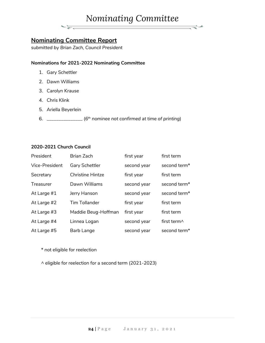# *Nominating Committee*

ਵਵੋ≠

### **Nominating Committee Report**

 $\frac{1}{\sqrt{2\pi}}\frac{1}{\sqrt{2\pi}}\frac{1}{\sqrt{2\pi}}\frac{1}{\sqrt{2\pi}}\frac{1}{\sqrt{2\pi}}\frac{1}{\sqrt{2\pi}}\frac{1}{\sqrt{2\pi}}\frac{1}{\sqrt{2\pi}}\frac{1}{\sqrt{2\pi}}\frac{1}{\sqrt{2\pi}}\frac{1}{\sqrt{2\pi}}\frac{1}{\sqrt{2\pi}}\frac{1}{\sqrt{2\pi}}\frac{1}{\sqrt{2\pi}}\frac{1}{\sqrt{2\pi}}\frac{1}{\sqrt{2\pi}}\frac{1}{\sqrt{2\pi}}\frac{1}{\sqrt{2\pi}}\frac{1$ 

*submitted by Brian Zach, Council President*

#### **Nominations for 2021-2022 Nominating Committee**

- 1. Gary Schettler
- 2. Dawn Williams
- 3. Carolyn Krause
- 4. Chris Klink
- 5. Ariella Beyerlein
- 6. \_\_\_\_\_\_\_\_\_\_\_\_\_\_\_ (*6 th nominee not confirmed at time of printing*)

#### **2020-2021 Church Council**

| President      | <b>Brian Zach</b>       | first year  | first term          |
|----------------|-------------------------|-------------|---------------------|
| Vice-President | <b>Gary Schettler</b>   | second year | second term*        |
| Secretary      | <b>Christine Hintze</b> | first year  | first term          |
| Treasurer      | Dawn Williams           | second year | second term*        |
| At Large #1    | Jerry Hanson            | second year | second term*        |
| At Large #2    | <b>Tim Tollander</b>    | first year  | first term          |
| At Large #3    | Maddie Beug-Hoffman     | first year  | first term          |
| At Large #4    | Linnea Logan            | second year | first term $\wedge$ |
| At Large #5    | Barb Lange              | second year | second term*        |

\* not eligible for reelection

^ eligible for reelection for a second term (2021-2023)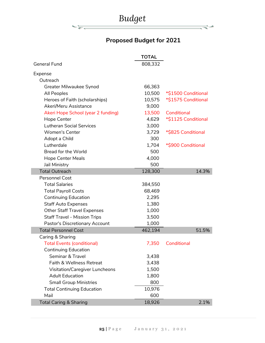

कर

# **Proposed Budget for 2021**

ਵ∸

|                                       | <b>TOTAL</b> |                     |
|---------------------------------------|--------------|---------------------|
| <b>General Fund</b>                   | 808,332      |                     |
| Expense                               |              |                     |
| Outreach                              |              |                     |
| Greater Milwaukee Synod               | 66,363       |                     |
| All Peoples                           | 10,500       | *\$1500 Conditional |
| Heroes of Faith (scholarships)        | 10,575       | *\$1575 Conditional |
| Akeri/Meru Assistance                 | 9,000        |                     |
| Akeri Hope School (year 2 funding)    | 13,500       | Conditional         |
| <b>Hope Center</b>                    | 4,629        | *\$1125 Conditional |
| <b>Lutheran Social Services</b>       | 3,000        |                     |
| <b>Women's Center</b>                 | 3,729        | *\$825 Conditional  |
| Adopt a Child                         | 300          |                     |
| Lutherdale                            | 1,704        | *\$900 Conditional  |
| <b>Bread for the World</b>            | 500          |                     |
| <b>Hope Center Meals</b>              | 4,000        |                     |
| Jail Ministry                         | 500          |                     |
| <b>Total Outreach</b>                 | 128,300      | 14.3%               |
| <b>Personnel Cost</b>                 |              |                     |
| <b>Total Salaries</b>                 | 384,550      |                     |
| <b>Total Payroll Costs</b>            | 68,469       |                     |
| <b>Continuing Education</b>           | 2,295        |                     |
| <b>Staff Auto Expenses</b>            | 1,380        |                     |
| <b>Other Staff Travel Expenses</b>    | 1,000        |                     |
| <b>Staff Travel - Mission Trips</b>   | 3,500        |                     |
| Pastor's Discretionary Account        | 1,000        |                     |
| <b>Total Personnel Cost</b>           | 462,194      | 51.5%               |
| Caring & Sharing                      |              |                     |
| <b>Total Events (conditional)</b>     | 7,350        | Conditional         |
| <b>Continuing Education</b>           |              |                     |
| Seminar & Travel                      | 3,438        |                     |
| Faith & Wellness Retreat              | 3,438        |                     |
| <b>Visitation/Caregiver Luncheons</b> | 1,500        |                     |
| <b>Adult Education</b>                | 1,800        |                     |
| <b>Small Group Ministries</b>         | 800          |                     |
| <b>Total Continuing Education</b>     | 10,976       |                     |
| Mail                                  | 600          |                     |
| <b>Total Caring &amp; Sharing</b>     | 18,926       | 2.1%                |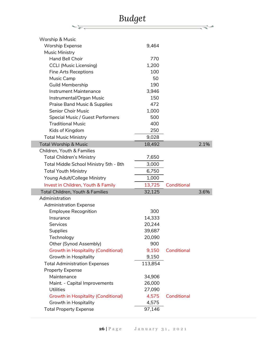| <b>Budget</b>                                                       |         |             |      |
|---------------------------------------------------------------------|---------|-------------|------|
|                                                                     |         |             |      |
| <b>Worship &amp; Music</b>                                          |         |             |      |
|                                                                     | 9,464   |             |      |
| <b>Worship Expense</b>                                              |         |             |      |
| Music Ministry<br><b>Hand Bell Choir</b>                            | 770     |             |      |
|                                                                     | 1,200   |             |      |
| <b>CCLI (Music Licensing)</b>                                       | 100     |             |      |
| <b>Fine Arts Receptions</b>                                         | 50      |             |      |
| Music Camp<br><b>Guild Membership</b>                               | 190     |             |      |
| <b>Instrument Maintenance</b>                                       | 3,946   |             |      |
|                                                                     | 150     |             |      |
| Instrumental/Organ Music<br><b>Praise Band Music &amp; Supplies</b> | 472     |             |      |
| <b>Senior Choir Music</b>                                           | 1,000   |             |      |
| Special Music / Guest Performers                                    | 500     |             |      |
| <b>Traditional Music</b>                                            | 400     |             |      |
|                                                                     | 250     |             |      |
| Kids of Kingdom                                                     |         |             |      |
| <b>Total Music Ministry</b>                                         | 9,028   |             |      |
| <b>Total Worship &amp; Music</b>                                    | 18,492  |             | 2.1% |
| Children, Youth & Families                                          |         |             |      |
| <b>Total Children's Ministry</b>                                    | 7,650   |             |      |
| Total Middle School Ministry 5th - 8th                              | 3,000   |             |      |
| <b>Total Youth Ministry</b>                                         | 6,750   |             |      |
| Young Adult/College Ministry                                        | 1,000   |             |      |
| Invest in Children, Youth & Family                                  | 13,725  | Conditional |      |
| <b>Total Children, Youth &amp; Families</b>                         | 32,125  |             | 3.6% |
| Administration                                                      |         |             |      |
| <b>Administration Expense</b>                                       |         |             |      |
| <b>Employee Recognition</b>                                         | 300     |             |      |
| Insurance                                                           | 14,333  |             |      |
| Services                                                            | 20,244  |             |      |
| Supplies                                                            | 39,687  |             |      |
| Technology                                                          | 20,090  |             |      |
| Other (Synod Assembly)                                              | 900     |             |      |
| <b>Growth in Hospitality (Conditional)</b>                          | 9,150   | Conditional |      |
| Growth in Hospitality                                               | 9,150   |             |      |
| <b>Total Administration Expenses</b>                                | 113,854 |             |      |
| <b>Property Expense</b>                                             |         |             |      |
| Maintenance                                                         | 34,906  |             |      |
| Maint. - Capital Improvements                                       | 26,000  |             |      |
| <b>Utilities</b>                                                    | 27,090  |             |      |
| <b>Growth in Hospitality (Conditional)</b>                          | 4,575   | Conditional |      |
| Growth in Hospitality                                               | 4,575   |             |      |
| <b>Total Property Expense</b>                                       | 97,146  |             |      |